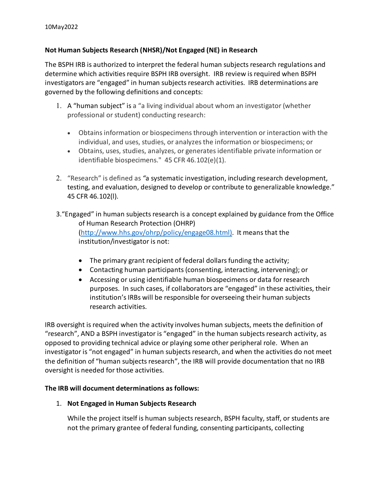# **Not Human Subjects Research (NHSR)/Not Engaged (NE) in Research**

The BSPH IRB is authorized to interpret the federal human subjects research regulations and determine which activities require BSPH IRB oversight. IRB review is required when BSPH investigators are "engaged" in human subjects research activities. IRB determinations are governed by the following definitions and concepts:

- 1. A "human subject" is a "a living individual about whom an investigator (whether professional or student) conducting research:
	- Obtains information or biospecimens through intervention or interaction with the individual, and uses, studies, or analyzes the information or biospecimens; or
	- Obtains, uses, studies, analyzes, or generates identifiable private information or identifiable biospecimens." 45 CFR 46.102(e)(1).
- 2. "Research" is defined as *"*a systematic investigation, including research development, testing, and evaluation, designed to develop or contribute to generalizable knowledge." 45 CFR 46.102(l).
- 3."Engaged" in human subjects research is a concept explained by guidance from the Office of Human Research Protection (OHRP) [\(http://www.hhs.gov/ohrp/policy/engage08.html\)](http://www.hhs.gov/ohrp/policy/engage08.html). It means that the institution/investigator is not:
	- The primary grant recipient of federal dollars funding the activity;
	- Contacting human participants (consenting, interacting, intervening); or
	- Accessing or using identifiable human biospecimens or data for research purposes. In such cases, if collaborators are "engaged" in these activities, their institution's IRBs will be responsible for overseeing their human subjects research activities.

IRB oversight is required when the activity involves human subjects, meets the definition of "research", AND a BSPH investigator is "engaged" in the human subjects research activity, as opposed to providing technical advice or playing some other peripheral role. When an investigator is "not engaged" in human subjects research, and when the activities do not meet the definition of "human subjects research", the IRB will provide documentation that no IRB oversight is needed for those activities.

## **The IRB will document determinations as follows:**

## 1. **Not Engaged in Human Subjects Research**

While the project itself is human subjects research, BSPH faculty, staff, or students are not the primary grantee of federal funding, consenting participants, collecting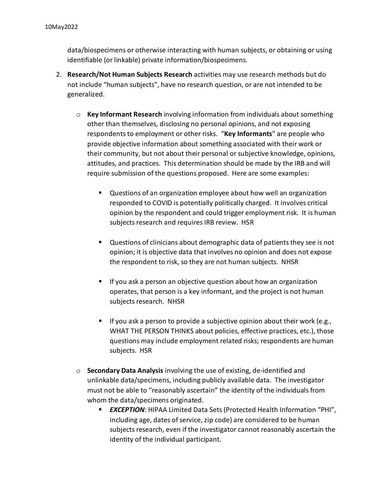data/biospecimens or otherwise interacting with human subjects, or obtaining or using identifiable (or linkable) private information/biospecimens.

- 2. **Research/Not Human Subjects Research** activities may use research methods but do not include "human subjects", have no research question, or are not intended to be generalized.
	- o **Key Informant Research** involving information from individuals about something other than themselves, disclosing no personal opinions, and not exposing respondents to employment or other risks. "**Key Informants**" are people who provide objective information about something associated with their work or their community, but not about their personal or subjective knowledge, opinions, attitudes, and practices. This determination should be made by the IRB and will require submission of the questions proposed. Here are some examples:
		- Questions of an organization employee about how well an organization responded to COVID is potentially politically charged. It involves critical opinion by the respondent and could trigger employment risk. It is human subjects research and requires IRB review. HSR
		- Questions of clinicians about demographic data of patients they see is not opinion; it is objective data that involves no opinion and does not expose the respondent to risk, so they are not human subjects. NHSR
		- **If you ask a person an objective question about how an organization** operates, that person is a key informant, and the project is not human subjects research. NHSR
		- If you ask a person to provide a subjective opinion about their work (e.g., WHAT THE PERSON THINKS about policies, effective practices, etc.), those questions may include employment related risks; respondents are human subjects. HSR
	- o **Secondary Data Analysis** involving the use of existing, de-identified and unlinkable data/specimens, including publicly available data. The investigator must not be able to "reasonably ascertain" the identity of the individuals from whom the data/specimens originated.
		- *EXCEPTION*: HIPAA Limited Data Sets(Protected Health Information "PHI", including age, dates of service, zip code) are considered to be human subjects research, even if the investigator cannot reasonably ascertain the identity of the individual participant.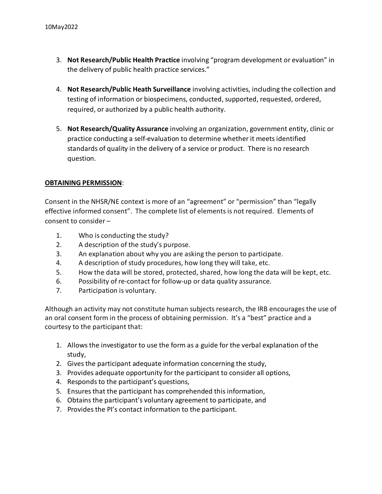- 3. **Not Research/Public Health Practice** involving "program development or evaluation" in the delivery of public health practice services."
- 4. **Not Research/Public Heath Surveillance** involving activities, including the collection and testing of information or biospecimens, conducted, supported, requested, ordered, required, or authorized by a public health authority.
- 5. **Not Research/Quality Assurance** involving an organization, government entity, clinic or practice conducting a self-evaluation to determine whether it meets identified standards of quality in the delivery of a service or product. There is no research question.

### **OBTAINING PERMISSION**:

Consent in the NHSR/NE context is more of an "agreement" or "permission" than "legally effective informed consent". The complete list of elements is not required. Elements of consent to consider –

- 1. Who is conducting the study?
- 2. A description of the study's purpose.
- 3. An explanation about why you are asking the person to participate.
- 4. A description of study procedures, how long they will take, etc.
- 5. How the data will be stored, protected, shared, how long the data will be kept, etc.
- 6. Possibility of re-contact for follow-up or data quality assurance.
- 7. Participation is voluntary.

Although an activity may not constitute human subjects research, the IRB encourages the use of an oral consent form in the process of obtaining permission. It's a "best" practice and a courtesy to the participant that:

- 1. Allows the investigator to use the form as a guide for the verbal explanation of the study,
- 2. Gives the participant adequate information concerning the study,
- 3. Provides adequate opportunity for the participant to consider all options,
- 4. Responds to the participant's questions,
- 5. Ensures that the participant has comprehended this information,
- 6. Obtains the participant's voluntary agreement to participate, and
- 7. Provides the PI's contact information to the participant.